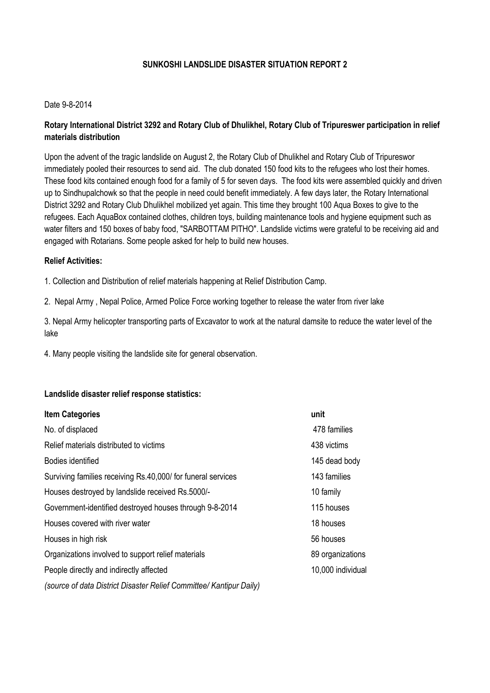# **SUNKOSHI LANDSLIDE DISASTER SITUATION REPORT 2**

# Date 9-8-2014

# **Rotary International District 3292 and Rotary Club of Dhulikhel, Rotary Club of Tripureswer participation in relief materials distribution**

Upon the advent of the tragic landslide on August 2, the Rotary Club of Dhulikhel and Rotary Club of Tripureswor immediately pooled their resources to send aid. The club donated 150 food kits to the refugees who lost their homes. These food kits contained enough food for a family of 5 for seven days. The food kits were assembled quickly and driven up to Sindhupalchowk so that the people in need could benefit immediately. A few days later, the Rotary International District 3292 and Rotary Club Dhulikhel mobilized yet again. This time they brought 100 Aqua Boxes to give to the refugees. Each AquaBox contained clothes, children toys, building maintenance tools and hygiene equipment such as water filters and 150 boxes of baby food, "SARBOTTAM PITHO". Landslide victims were grateful to be receiving aid and engaged with Rotarians. Some people asked for help to build new houses.

# **Relief Activities:**

1. Collection and Distribution of relief materials happening at Relief Distribution Camp.

2. Nepal Army , Nepal Police, Armed Police Force working together to release the water from river lake

3. Nepal Army helicopter transporting parts of Excavator to work at the natural damsite to reduce the water level of the lake

4. Many people visiting the landslide site for general observation.

#### **Landslide disaster relief response statistics:**

| <b>Item Categories</b>                                              | unit              |
|---------------------------------------------------------------------|-------------------|
| No. of displaced                                                    | 478 families      |
| Relief materials distributed to victims                             | 438 victims       |
| Bodies identified                                                   | 145 dead body     |
| Surviving families receiving Rs.40,000/ for funeral services        | 143 families      |
| Houses destroyed by landslide received Rs.5000/-                    | 10 family         |
| Government-identified destroyed houses through 9-8-2014             | 115 houses        |
| Houses covered with river water                                     | 18 houses         |
| Houses in high risk                                                 | 56 houses         |
| Organizations involved to support relief materials                  | 89 organizations  |
| People directly and indirectly affected                             | 10,000 individual |
| (source of data District Disaster Relief Committee/ Kantipur Daily) |                   |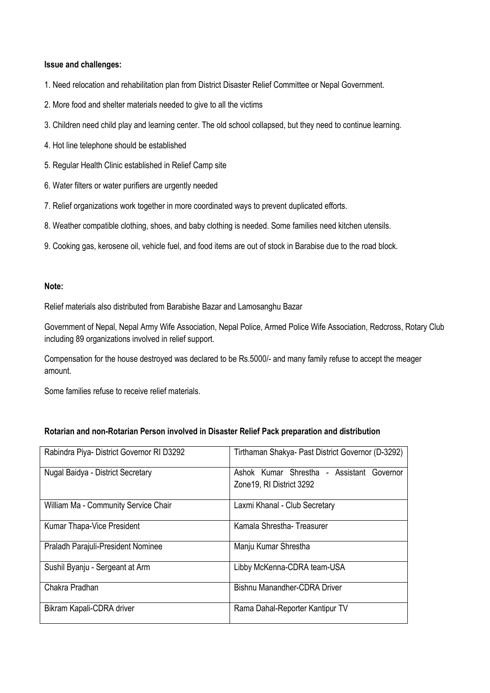#### **Issue and challenges:**

- 1. Need relocation and rehabilitation plan from District Disaster Relief Committee or Nepal Government.
- 2. More food and shelter materials needed to give to all the victims
- 3. Children need child play and learning center. The old school collapsed, but they need to continue learning.
- 4. Hot line telephone should be established
- 5. Regular Health Clinic established in Relief Camp site
- 6. Water filters or water purifiers are urgently needed
- 7. Relief organizations work together in more coordinated ways to prevent duplicated efforts.
- 8. Weather compatible clothing, shoes, and baby clothing is needed. Some families need kitchen utensils.
- 9. Cooking gas, kerosene oil, vehicle fuel, and food items are out of stock in Barabise due to the road block.

# **Note:**

Relief materials also distributed from Barabishe Bazar and Lamosanghu Bazar

Government of Nepal, Nepal Army Wife Association, Nepal Police, Armed Police Wife Association, Redcross, Rotary Club including 89 organizations involved in relief support.

Compensation for the house destroyed was declared to be Rs.5000/- and many family refuse to accept the meager amount.

Some families refuse to receive relief materials.

| Rotarian and non-Rotarian Person involved in Disaster Relief Pack preparation and distribution |  |  |  |
|------------------------------------------------------------------------------------------------|--|--|--|
|------------------------------------------------------------------------------------------------|--|--|--|

| Rabindra Piya- District Governor RI D3292 | Tirthaman Shakya- Past District Governor (D-3292)                      |
|-------------------------------------------|------------------------------------------------------------------------|
| Nugal Baidya - District Secretary         | Ashok Kumar Shrestha - Assistant Governor<br>Zone 19, RI District 3292 |
|                                           |                                                                        |
| William Ma - Community Service Chair      | Laxmi Khanal - Club Secretary                                          |
| Kumar Thapa-Vice President                | Kamala Shrestha-Treasurer                                              |
| Praladh Parajuli-President Nominee        | Manju Kumar Shrestha                                                   |
| Sushil Byanju - Sergeant at Arm           | Libby McKenna-CDRA team-USA                                            |
| Chakra Pradhan                            | Bishnu Manandher-CDRA Driver                                           |
| Bikram Kapali-CDRA driver                 | Rama Dahal-Reporter Kantipur TV                                        |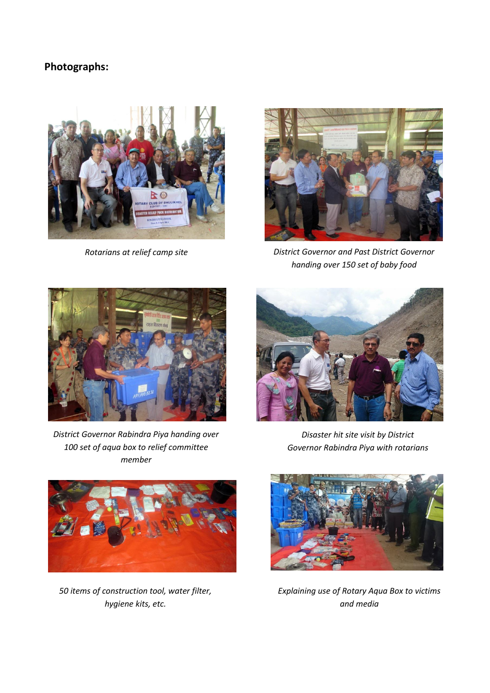# **Photographs:**



*Rotarians at relief camp site*



*District Governor and Past District Governor handing over 150 set of baby food*



*District Governor Rabindra Piya handing over 100 set of aqua box to relief committee member*



*Disaster hit site visit by District Governor Rabindra Piya with rotarians*



*50 items of construction tool, water filter, hygiene kits, etc.*



*Explaining use of Rotary Aqua Box to victims and media*